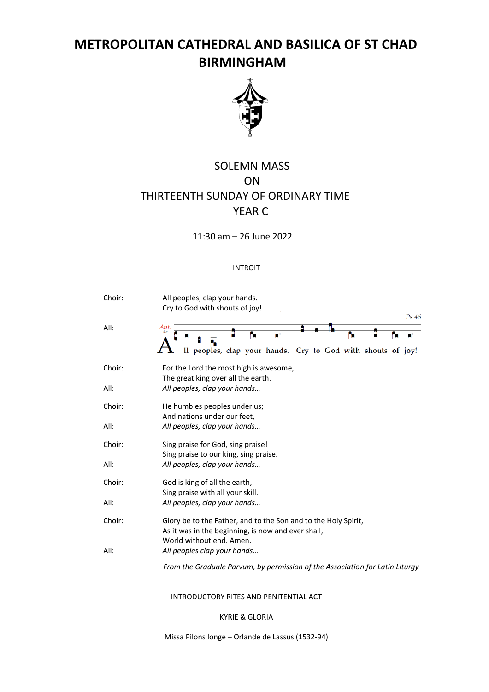# **METROPOLITAN CATHEDRAL AND BASILICA OF ST CHAD BIRMINGHAM**



# SOLEMN MASS ON THIRTEENTH SUNDAY OF ORDINARY TIME YEAR C

11:30 am – 26 June 2022

# INTROIT

| Choir: | All peoples, clap your hands.<br>Cry to God with shouts of joy!                                                                                  |
|--------|--------------------------------------------------------------------------------------------------------------------------------------------------|
| All:   | Ps 46<br>Ant.<br>Il peoples, clap your hands. Cry to God with shouts of joy!                                                                     |
| Choir: | For the Lord the most high is awesome,<br>The great king over all the earth.                                                                     |
| All:   | All peoples, clap your hands                                                                                                                     |
| Choir: | He humbles peoples under us;<br>And nations under our feet,                                                                                      |
| All:   | All peoples, clap your hands                                                                                                                     |
| Choir: | Sing praise for God, sing praise!<br>Sing praise to our king, sing praise.                                                                       |
| All:   | All peoples, clap your hands                                                                                                                     |
| Choir: | God is king of all the earth,<br>Sing praise with all your skill.                                                                                |
| All:   | All peoples, clap your hands                                                                                                                     |
| Choir: | Glory be to the Father, and to the Son and to the Holy Spirit,<br>As it was in the beginning, is now and ever shall,<br>World without end. Amen. |
| All:   | All peoples clap your hands                                                                                                                      |
|        | From the Graduale Parvum, by permission of the Association for Latin Liturgy                                                                     |

# INTRODUCTORY RITES AND PENITENTIAL ACT

KYRIE & GLORIA

Missa Pilons longe – Orlande de Lassus (1532-94)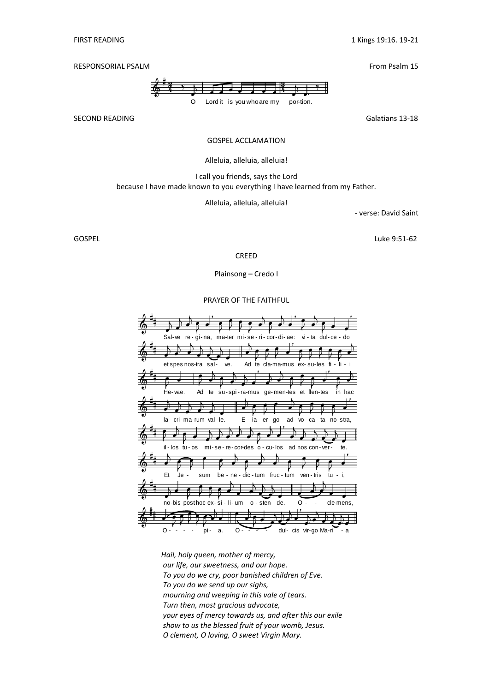RESPONSORIAL PSALM **From Psalm 15** 

 $\clubsuit$ ≌# 4  $\gamma$ å æ O å Lord it is you who are m y å å å å å å 3 4 å æ por-tion. å. ۰,

SECOND READING GALACTER SECOND READING SECOND READING SECOND READING SECOND AT A SAMPLE OF SALE SECOND SECOND SECOND SECOND SECOND SECOND SECOND SECOND SECOND SECOND SECOND SECOND SECOND SECOND SECOND SECOND SECOND SECOND

# GOSPEL ACCLAMATION

#### Alleluia, alleluia, alleluia!

I call you friends, says the Lord because I have made known to you everything I have learned from my Father.

Alleluia, alleluia, alleluia!

- verse: David Saint

GOSPEL Luke 9:51-62

CREED

Plainsong – Credo I

#### PRAYER OF THE FAITHFUL



*Hail, holy queen, mother of mercy, our life, our sweetness, and our hope. To you do we cry, poor banished children of Eve. To you do we send up our sighs, mourning and weeping in this vale of tears. Turn then, most gracious advocate, your eyes of mercy towards us, and after this our exile show to us the blessed fruit of your womb, Jesus. O clement, O loving, O sweet Virgin Mary.*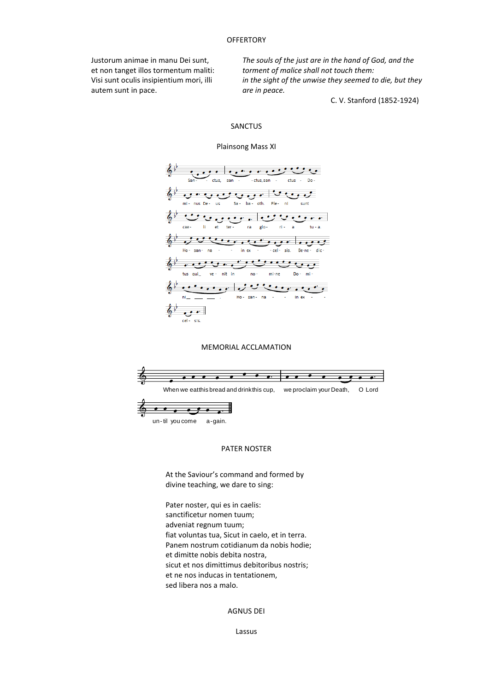## **OFFERTORY**

Justorum animae in manu Dei sunt, et non tanget illos tormentum maliti: Visi sunt oculis insipientium mori, illi autem sunt in pace.

*The souls of the just are in the hand of God, and the torment of malice shall not touch them: in the sight of the unwise they seemed to die, but they are in peace.*

C. V. Stanford (1852-1924)

#### SANCTUS

#### Plainsong Mass XI



## MEMORIAL ACCLAMATION



## PATER NOSTER

At the Saviour's command and formed by divine teaching, we dare to sing:

Pater noster, qui es in caelis: sanctificetur nomen tuum; adveniat regnum tuum; fiat voluntas tua, Sicut in caelo, et in terra. Panem nostrum cotidianum da nobis hodie; et dimitte nobis debita nostra, sicut et nos dimittimus debitoribus nostris; et ne nos inducas in tentationem, sed libera nos a malo.

### AGNUS DEI

Lassus